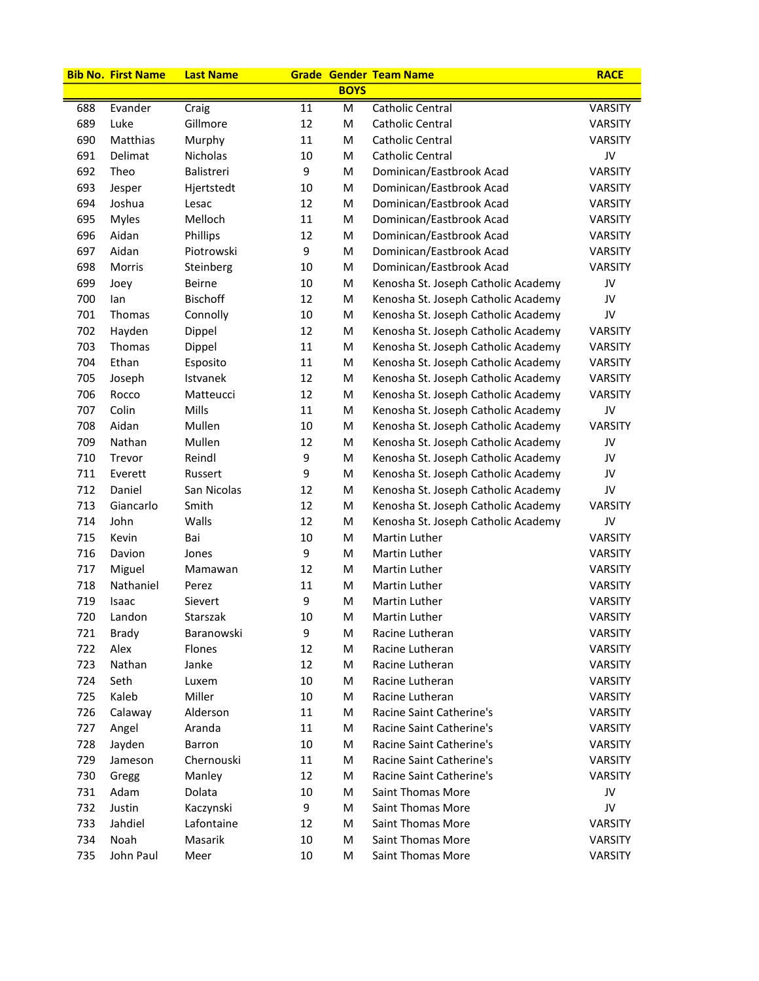|     | <b>Bib No. First Name</b> | <b>Last Name</b> |    |             | <b>Grade Gender Team Name</b>       | <b>RACE</b>    |
|-----|---------------------------|------------------|----|-------------|-------------------------------------|----------------|
|     |                           |                  |    | <b>BOYS</b> |                                     |                |
| 688 | Evander                   | Craig            | 11 | M           | <b>Catholic Central</b>             | <b>VARSITY</b> |
| 689 | Luke                      | Gillmore         | 12 | M           | Catholic Central                    | VARSITY        |
| 690 | Matthias                  | Murphy           | 11 | M           | Catholic Central                    | <b>VARSITY</b> |
| 691 | Delimat                   | Nicholas         | 10 | M           | <b>Catholic Central</b>             | JV             |
| 692 | Theo                      | Balistreri       | 9  | M           | Dominican/Eastbrook Acad            | <b>VARSITY</b> |
| 693 | Jesper                    | Hjertstedt       | 10 | M           | Dominican/Eastbrook Acad            | VARSITY        |
| 694 | Joshua                    | Lesac            | 12 | M           | Dominican/Eastbrook Acad            | <b>VARSITY</b> |
| 695 | Myles                     | Melloch          | 11 | M           | Dominican/Eastbrook Acad            | <b>VARSITY</b> |
| 696 | Aidan                     | Phillips         | 12 | M           | Dominican/Eastbrook Acad            | VARSITY        |
| 697 | Aidan                     | Piotrowski       | 9  | M           | Dominican/Eastbrook Acad            | VARSITY        |
| 698 | Morris                    | Steinberg        | 10 | M           | Dominican/Eastbrook Acad            | VARSITY        |
| 699 | Joey                      | <b>Beirne</b>    | 10 | M           | Kenosha St. Joseph Catholic Academy | JV             |
| 700 | lan                       | <b>Bischoff</b>  | 12 | M           | Kenosha St. Joseph Catholic Academy | JV             |
| 701 | Thomas                    | Connolly         | 10 | M           | Kenosha St. Joseph Catholic Academy | JV             |
| 702 | Hayden                    | Dippel           | 12 | M           | Kenosha St. Joseph Catholic Academy | <b>VARSITY</b> |
| 703 | Thomas                    | Dippel           | 11 | M           | Kenosha St. Joseph Catholic Academy | <b>VARSITY</b> |
| 704 | Ethan                     | Esposito         | 11 | М           | Kenosha St. Joseph Catholic Academy | <b>VARSITY</b> |
| 705 | Joseph                    | Istvanek         | 12 | M           | Kenosha St. Joseph Catholic Academy | VARSITY        |
| 706 | Rocco                     | Matteucci        | 12 | M           | Kenosha St. Joseph Catholic Academy | VARSITY        |
| 707 | Colin                     | Mills            | 11 | M           | Kenosha St. Joseph Catholic Academy | JV             |
| 708 | Aidan                     | Mullen           | 10 | M           | Kenosha St. Joseph Catholic Academy | <b>VARSITY</b> |
| 709 | Nathan                    | Mullen           | 12 | M           | Kenosha St. Joseph Catholic Academy | JV             |
| 710 | Trevor                    | Reindl           | 9  | M           | Kenosha St. Joseph Catholic Academy | JV             |
| 711 | Everett                   | Russert          | 9  | M           | Kenosha St. Joseph Catholic Academy | JV             |
| 712 | Daniel                    | San Nicolas      | 12 | M           | Kenosha St. Joseph Catholic Academy | JV             |
| 713 | Giancarlo                 | Smith            | 12 | M           | Kenosha St. Joseph Catholic Academy | <b>VARSITY</b> |
| 714 | John                      | Walls            | 12 | M           | Kenosha St. Joseph Catholic Academy | JV             |
| 715 | Kevin                     | Bai              | 10 | M           | Martin Luther                       | <b>VARSITY</b> |
| 716 | Davion                    | Jones            | 9  | M           | Martin Luther                       | VARSITY        |
| 717 | Miguel                    | Mamawan          | 12 | M           | Martin Luther                       | VARSITY        |
| 718 | Nathaniel                 | Perez            | 11 | M           | Martin Luther                       | VARSITY        |
| 719 | Isaac                     | Sievert          | 9  | M           | Martin Luther                       | <b>VARSITY</b> |
| 720 | Landon                    | Starszak         | 10 | м           | Martin Luther                       | VARSITY        |
| 721 | <b>Brady</b>              | Baranowski       | 9  | M           | Racine Lutheran                     | <b>VARSITY</b> |
| 722 | Alex                      | Flones           | 12 | M           | Racine Lutheran                     | VARSITY        |
| 723 | Nathan                    | Janke            | 12 | M           | Racine Lutheran                     | VARSITY        |
| 724 | Seth                      | Luxem            | 10 | M           | Racine Lutheran                     | <b>VARSITY</b> |
| 725 | Kaleb                     | Miller           | 10 | M           | Racine Lutheran                     | <b>VARSITY</b> |
| 726 | Calaway                   | Alderson         | 11 | M           | Racine Saint Catherine's            | <b>VARSITY</b> |
| 727 | Angel                     | Aranda           | 11 | M           | Racine Saint Catherine's            | VARSITY        |
| 728 | Jayden                    | Barron           | 10 | M           | Racine Saint Catherine's            | <b>VARSITY</b> |
| 729 | Jameson                   | Chernouski       | 11 | M           | Racine Saint Catherine's            | VARSITY        |
| 730 | Gregg                     | Manley           | 12 | M           | Racine Saint Catherine's            | VARSITY        |
| 731 | Adam                      | Dolata           | 10 | M           | Saint Thomas More                   | JV             |
| 732 | Justin                    | Kaczynski        | 9  | M           | Saint Thomas More                   | JV             |
| 733 | Jahdiel                   | Lafontaine       | 12 | M           | Saint Thomas More                   | VARSITY        |
| 734 | Noah                      | Masarik          | 10 | M           | Saint Thomas More                   | <b>VARSITY</b> |
| 735 | John Paul                 | Meer             | 10 | M           | Saint Thomas More                   | VARSITY        |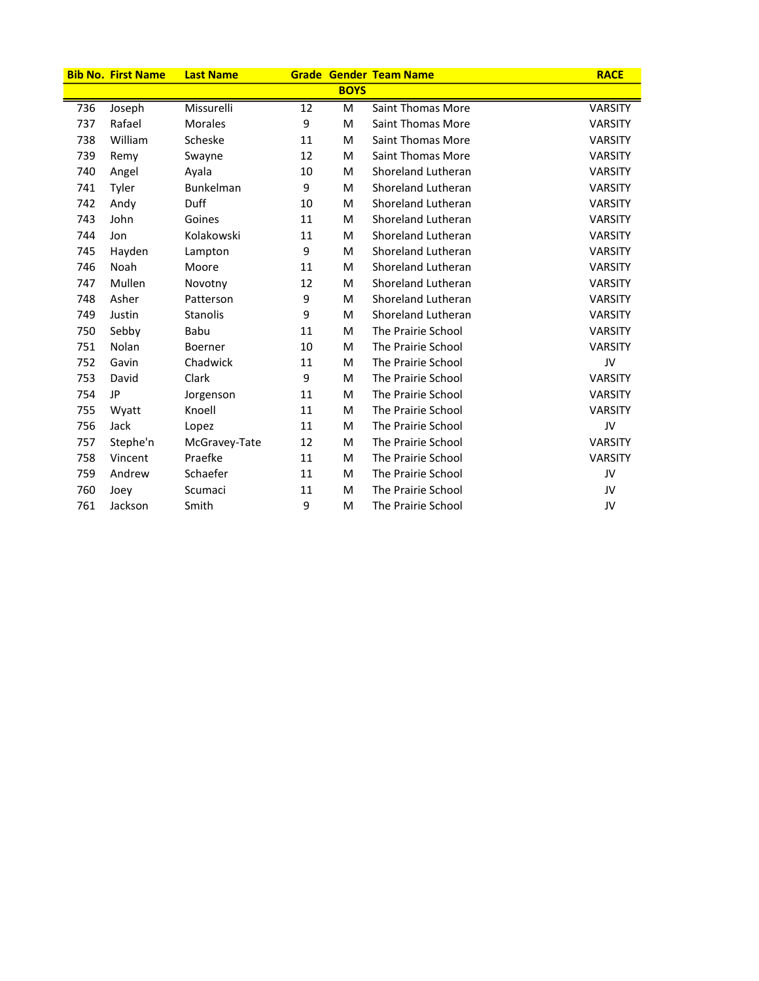|     | <b>Bib No. First Name</b> | <b>Last Name</b> |    |             | <b>Grade Gender Team Name</b> | <b>RACE</b>    |
|-----|---------------------------|------------------|----|-------------|-------------------------------|----------------|
|     |                           |                  |    | <b>BOYS</b> |                               |                |
| 736 | Joseph                    | Missurelli       | 12 | M           | Saint Thomas More             | VARSITY        |
| 737 | Rafael                    | <b>Morales</b>   | 9  | M           | Saint Thomas More             | <b>VARSITY</b> |
| 738 | William                   | Scheske          | 11 | M           | Saint Thomas More             | <b>VARSITY</b> |
| 739 | Remy                      | Swayne           | 12 | M           | Saint Thomas More             | <b>VARSITY</b> |
| 740 | Angel                     | Ayala            | 10 | M           | Shoreland Lutheran            | <b>VARSITY</b> |
| 741 | Tyler                     | Bunkelman        | 9  | M           | Shoreland Lutheran            | <b>VARSITY</b> |
| 742 | Andy                      | Duff             | 10 | M           | Shoreland Lutheran            | <b>VARSITY</b> |
| 743 | John                      | Goines           | 11 | M           | Shoreland Lutheran            | <b>VARSITY</b> |
| 744 | Jon                       | Kolakowski       | 11 | M           | Shoreland Lutheran            | <b>VARSITY</b> |
| 745 | Hayden                    | Lampton          | 9  | M           | Shoreland Lutheran            | <b>VARSITY</b> |
| 746 | Noah                      | Moore            | 11 | M           | Shoreland Lutheran            | <b>VARSITY</b> |
| 747 | Mullen                    | Novotny          | 12 | M           | Shoreland Lutheran            | <b>VARSITY</b> |
| 748 | Asher                     | Patterson        | 9  | M           | Shoreland Lutheran            | <b>VARSITY</b> |
| 749 | Justin                    | Stanolis         | 9  | M           | Shoreland Lutheran            | <b>VARSITY</b> |
| 750 | Sebby                     | Babu             | 11 | M           | The Prairie School            | <b>VARSITY</b> |
| 751 | Nolan                     | Boerner          | 10 | M           | The Prairie School            | <b>VARSITY</b> |
| 752 | Gavin                     | Chadwick         | 11 | M           | The Prairie School            | JV             |
| 753 | David                     | Clark            | 9  | M           | The Prairie School            | <b>VARSITY</b> |
| 754 | JP                        | Jorgenson        | 11 | M           | The Prairie School            | <b>VARSITY</b> |
| 755 | Wyatt                     | Knoell           | 11 | M           | The Prairie School            | <b>VARSITY</b> |
| 756 | Jack                      | Lopez            | 11 | M           | The Prairie School            | JV             |
| 757 | Stephe'n                  | McGravey-Tate    | 12 | M           | The Prairie School            | <b>VARSITY</b> |
| 758 | Vincent                   | Praefke          | 11 | M           | The Prairie School            | <b>VARSITY</b> |
| 759 | Andrew                    | Schaefer         | 11 | M           | The Prairie School            | JV             |
| 760 | Joey                      | Scumaci          | 11 | M           | The Prairie School            | JV             |
| 761 | Jackson                   | Smith            | 9  | M           | The Prairie School            | JV             |

j